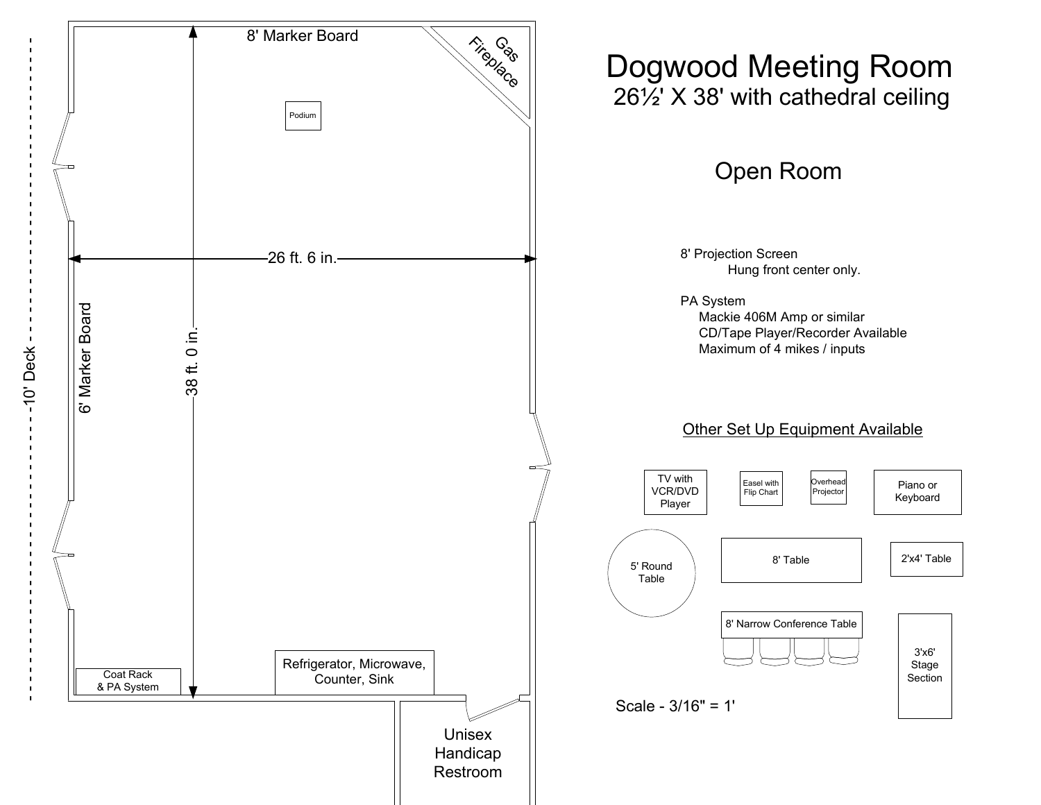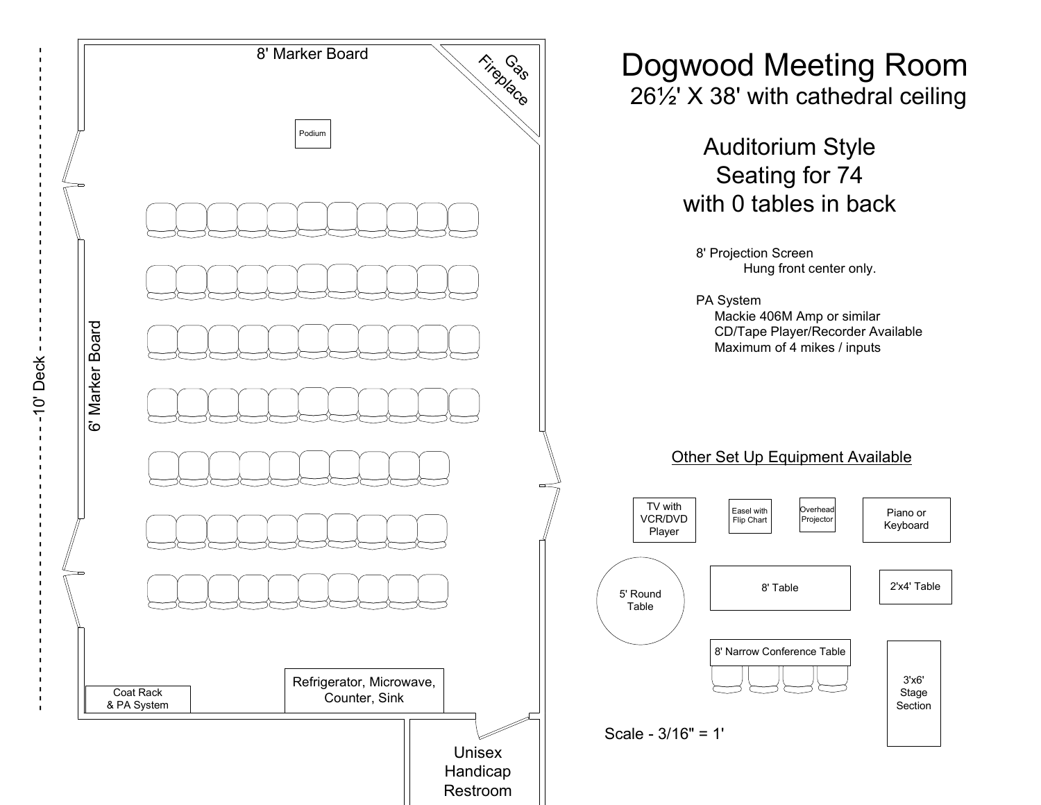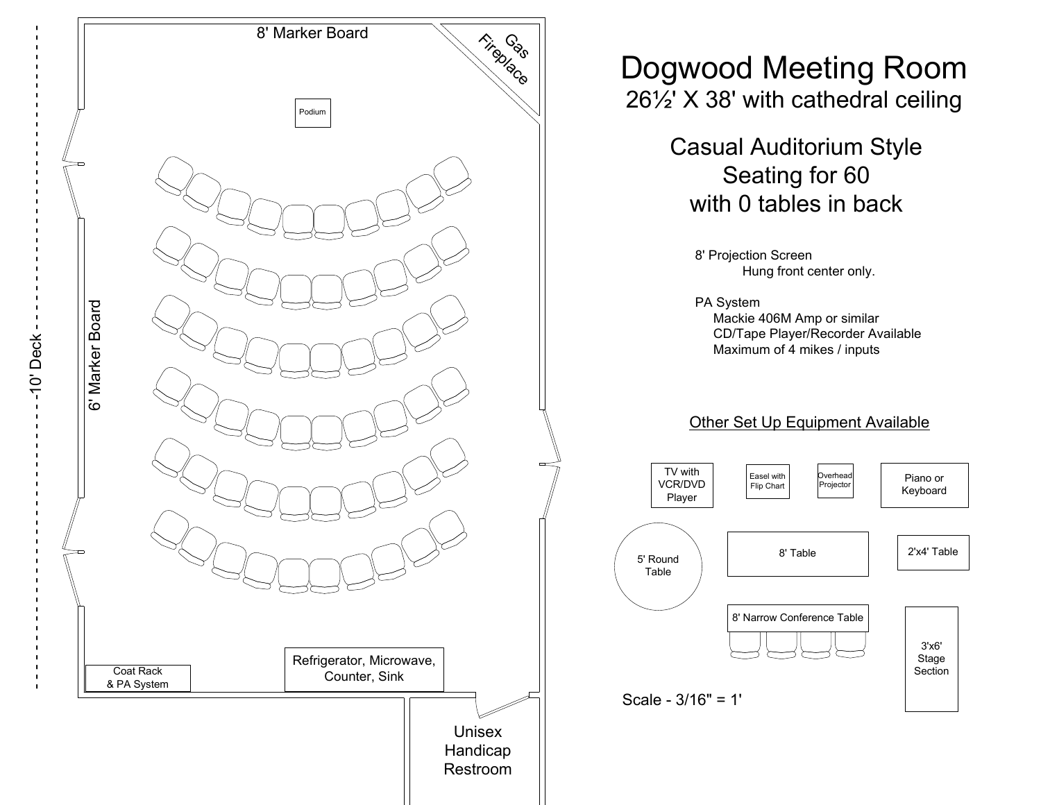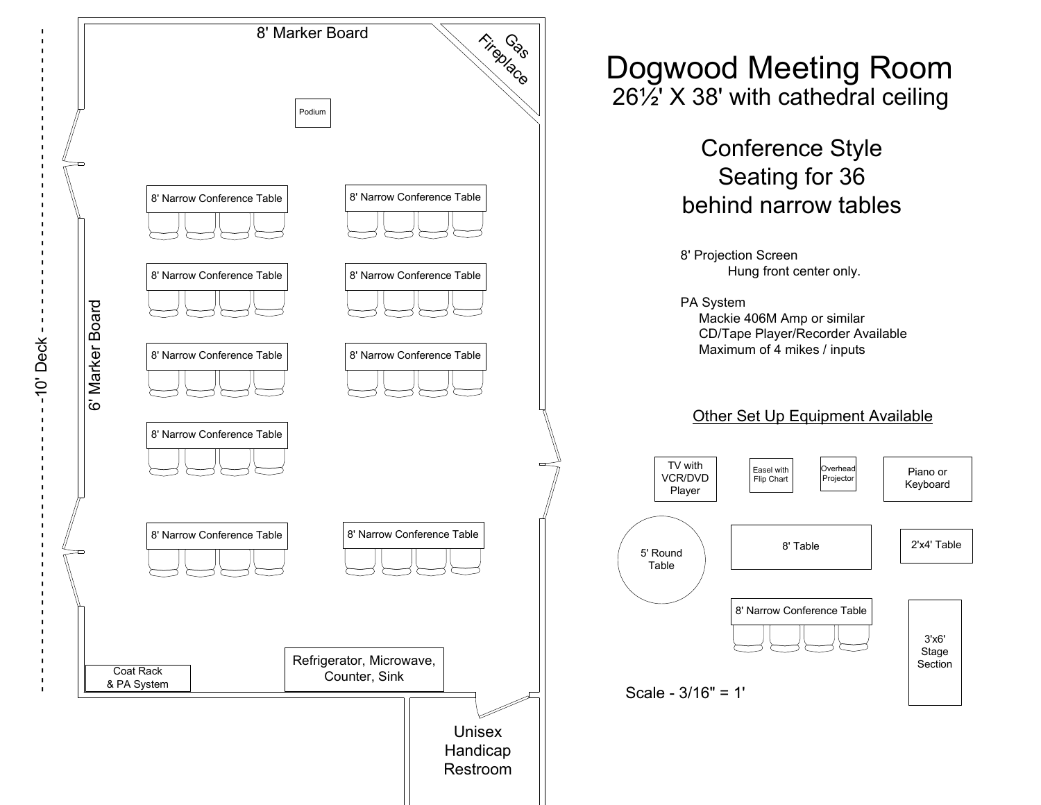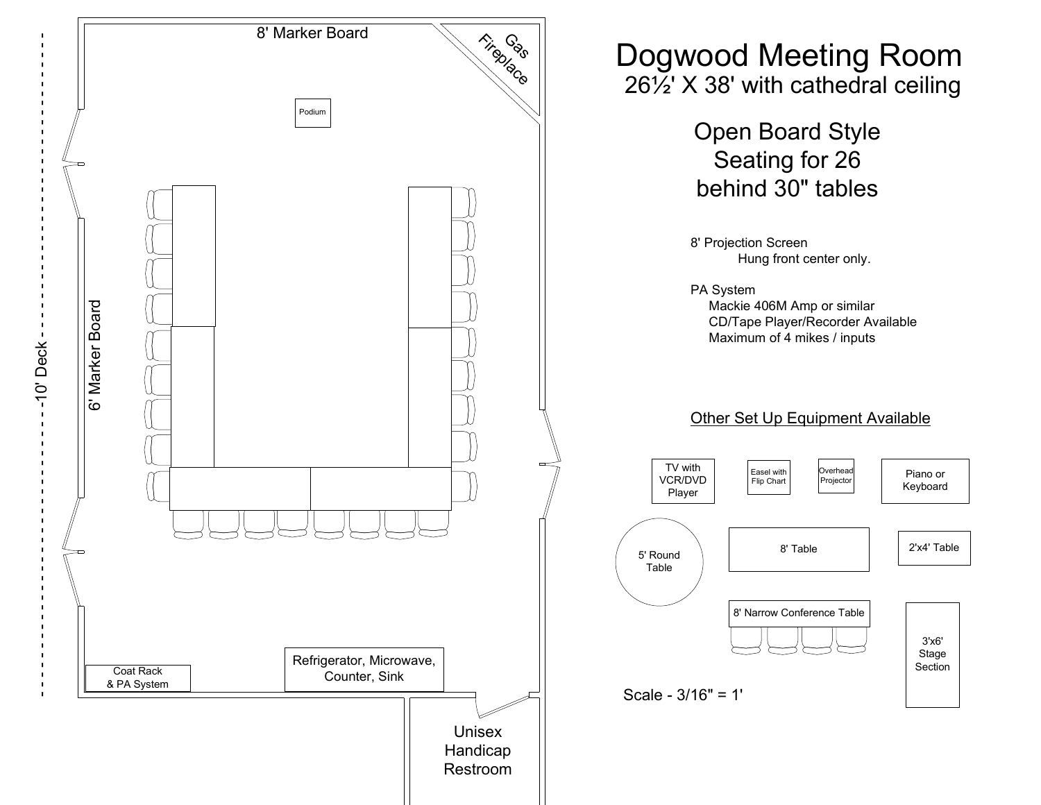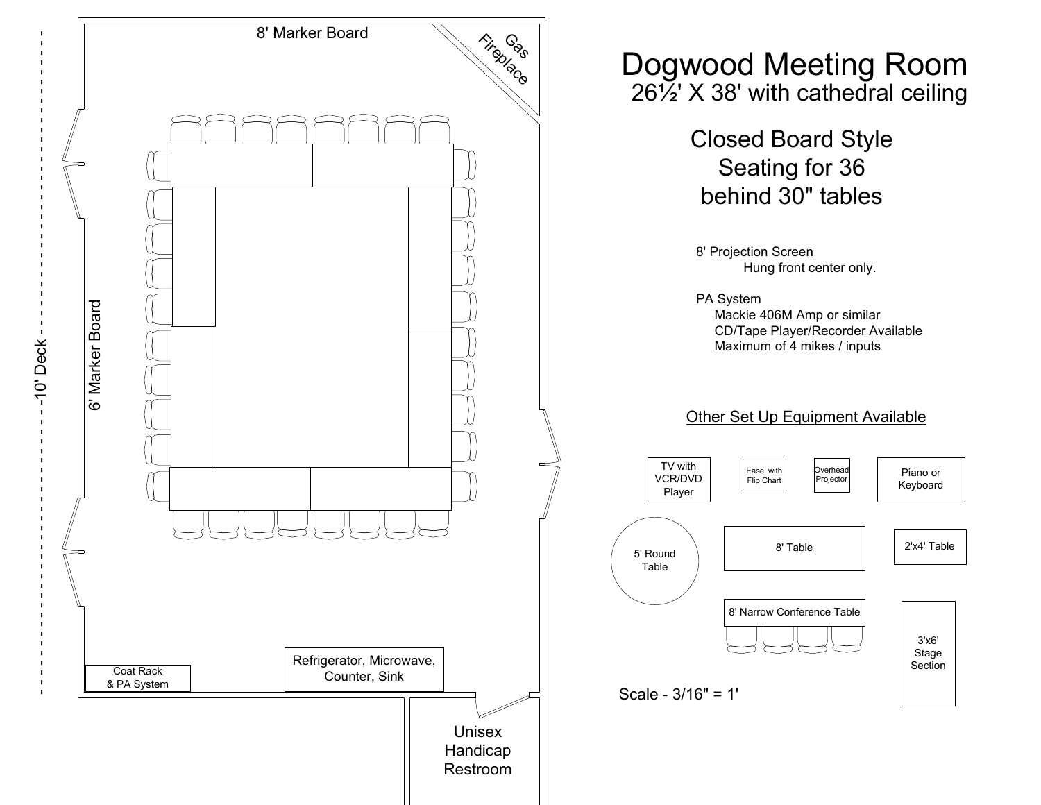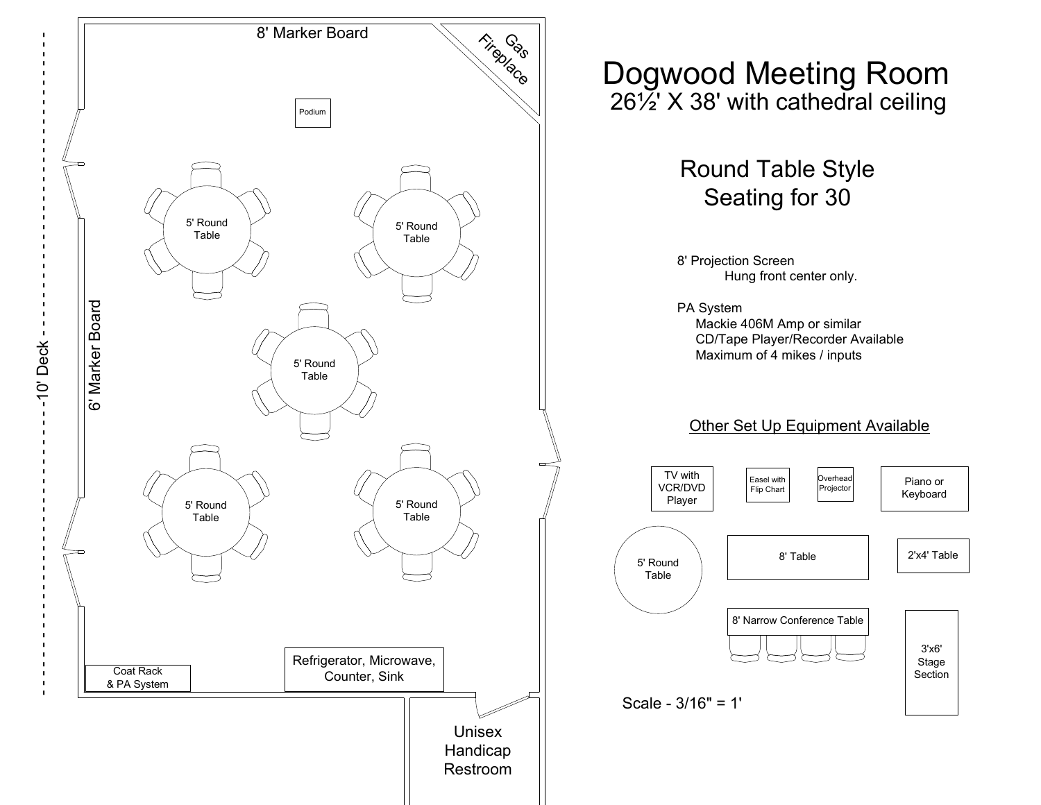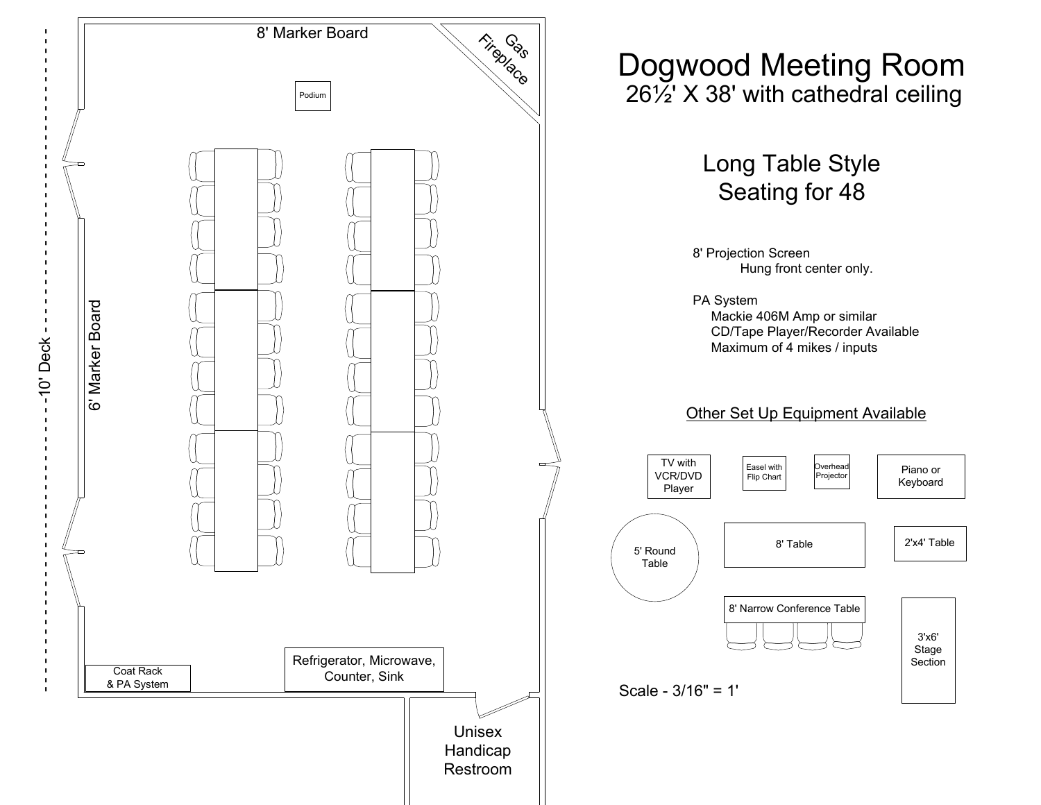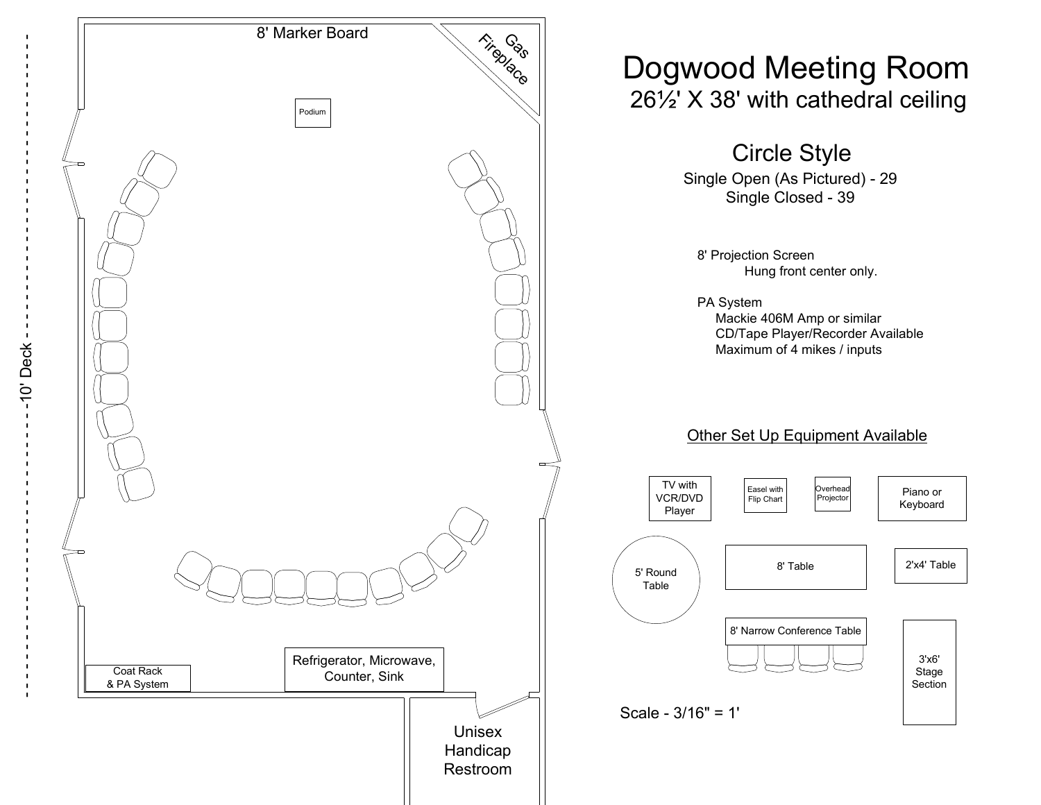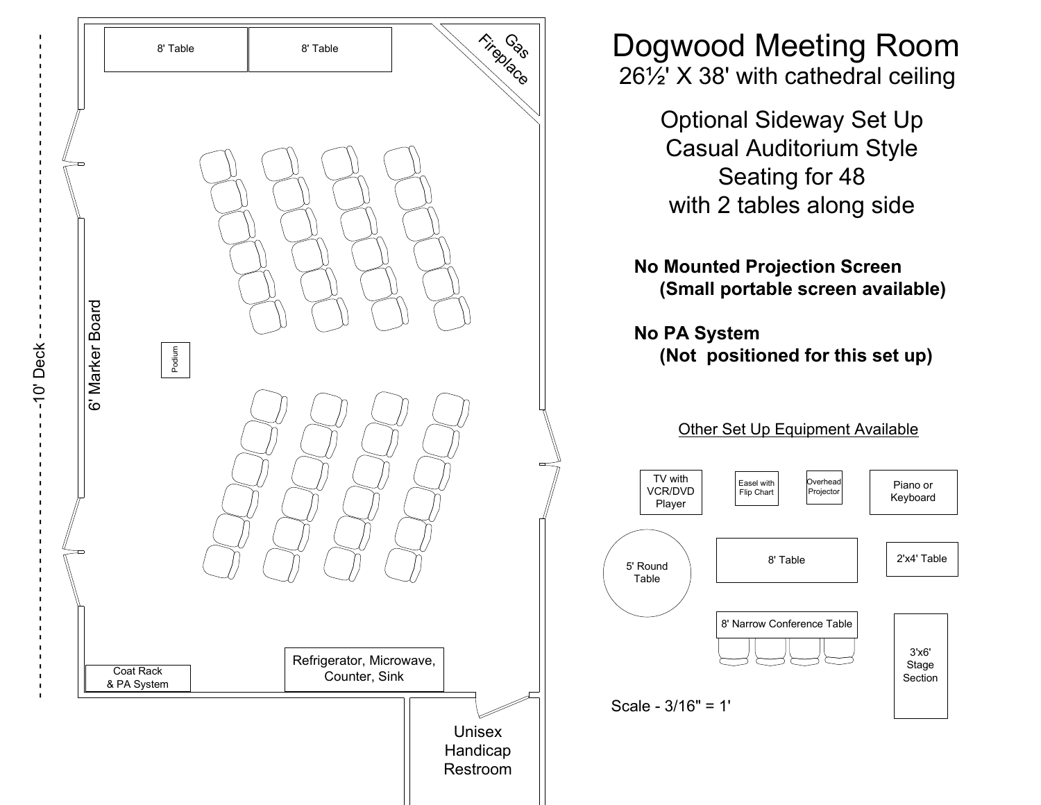|           |              | 8' Table                                                              | 8' Table | Fireplace                             | <b>Dogwood Meeting Roon</b><br>$26\frac{1}{2}$ X 38' with cathedral ceiling                                    |                      |
|-----------|--------------|-----------------------------------------------------------------------|----------|---------------------------------------|----------------------------------------------------------------------------------------------------------------|----------------------|
|           |              |                                                                       |          |                                       | <b>Optional Sideway Set Up</b><br><b>Casual Auditorium Style</b><br>Seating for 48<br>with 2 tables along side |                      |
|           |              |                                                                       |          |                                       | <b>No Mounted Projection Screen</b><br>(Small portable screen available)                                       |                      |
| -10' Deck | Marker Board | Podium                                                                |          |                                       | <b>No PA System</b><br>(Not positioned for this set up)                                                        |                      |
|           | ة.<br>ة      |                                                                       |          |                                       | Other Set Up Equipment Available                                                                               |                      |
|           |              |                                                                       |          |                                       | TV with<br>Overhead<br>Easel with<br>VCR/DVD<br>Projector<br>Flip Chart<br>Player                              | Piano or<br>Keyboard |
|           |              |                                                                       |          |                                       | 8' Table<br>5' Round<br>Table                                                                                  | 2'x4' Table          |
| п         |              | Refrigerator, Microwave,<br>Coat Rack<br>Counter, Sink<br>& PA System |          | 8' Narrow Conference Table            | 3'x6'<br>Stage<br>Section                                                                                      |                      |
|           |              |                                                                       |          | <b>Unisex</b><br>Handicap<br>Restroom | Scale - $3/16" = 1'$                                                                                           |                      |

## vood Meeting Room 26½' X 38' with cathedral ceiling